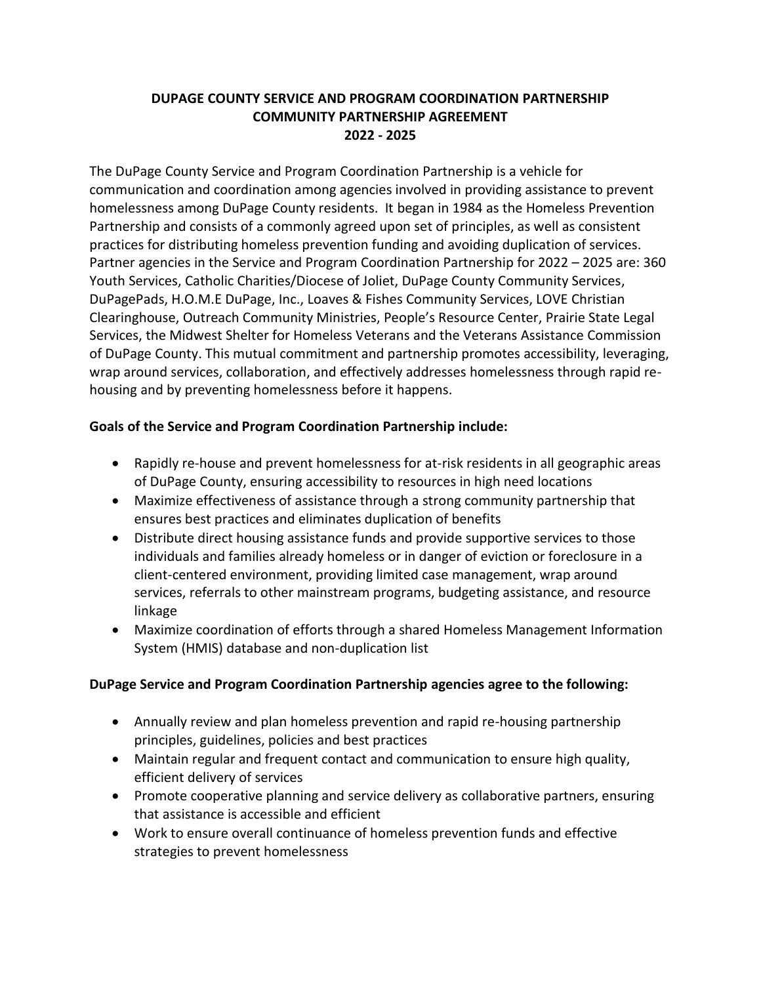## **DUPAGE COUNTY SERVICE AND PROGRAM COORDINATION PARTNERSHIP COMMUNITY PARTNERSHIP AGREEMENT 2022 - 2025**

The DuPage County Service and Program Coordination Partnership is a vehicle for communication and coordination among agencies involved in providing assistance to prevent homelessness among DuPage County residents. It began in 1984 as the Homeless Prevention Partnership and consists of a commonly agreed upon set of principles, as well as consistent practices for distributing homeless prevention funding and avoiding duplication of services. Partner agencies in the Service and Program Coordination Partnership for 2022 – 2025 are: 360 Youth Services, Catholic Charities/Diocese of Joliet, DuPage County Community Services, DuPagePads, H.O.M.E DuPage, Inc., Loaves & Fishes Community Services, LOVE Christian Clearinghouse, Outreach Community Ministries, People's Resource Center, Prairie State Legal Services, the Midwest Shelter for Homeless Veterans and the Veterans Assistance Commission of DuPage County. This mutual commitment and partnership promotes accessibility, leveraging, wrap around services, collaboration, and effectively addresses homelessness through rapid rehousing and by preventing homelessness before it happens.

## **Goals of the Service and Program Coordination Partnership include:**

- Rapidly re-house and prevent homelessness for at-risk residents in all geographic areas of DuPage County, ensuring accessibility to resources in high need locations
- Maximize effectiveness of assistance through a strong community partnership that ensures best practices and eliminates duplication of benefits
- Distribute direct housing assistance funds and provide supportive services to those individuals and families already homeless or in danger of eviction or foreclosure in a client-centered environment, providing limited case management, wrap around services, referrals to other mainstream programs, budgeting assistance, and resource linkage
- Maximize coordination of efforts through a shared Homeless Management Information System (HMIS) database and non-duplication list

## **DuPage Service and Program Coordination Partnership agencies agree to the following:**

- Annually review and plan homeless prevention and rapid re-housing partnership principles, guidelines, policies and best practices
- Maintain regular and frequent contact and communication to ensure high quality, efficient delivery of services
- Promote cooperative planning and service delivery as collaborative partners, ensuring that assistance is accessible and efficient
- Work to ensure overall continuance of homeless prevention funds and effective strategies to prevent homelessness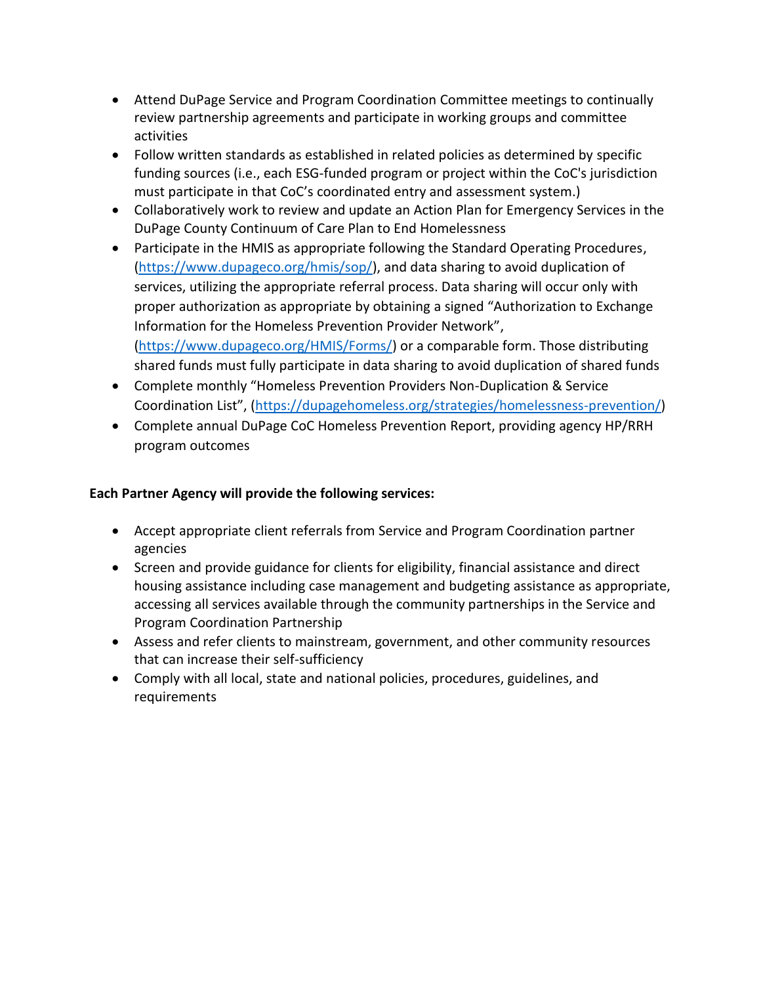- Attend DuPage Service and Program Coordination Committee meetings to continually review partnership agreements and participate in working groups and committee activities
- Follow written standards as established in related policies as determined by specific funding sources (i.e., each ESG-funded program or project within the CoC's jurisdiction must participate in that CoC's coordinated entry and assessment system.)
- Collaboratively work to review and update an Action Plan for Emergency Services in the DuPage County Continuum of Care Plan to End Homelessness
- Participate in the HMIS as appropriate following the Standard Operating Procedures, [\(https://www.dupageco.org/hmis/sop/\)](https://www.dupageco.org/hmis/sop/), and data sharing to avoid duplication of services, utilizing the appropriate referral process. Data sharing will occur only with proper authorization as appropriate by obtaining a signed "Authorization to Exchange Information for the Homeless Prevention Provider Network", [\(https://www.dupageco.org/HMIS/Forms/\)](https://www.dupageco.org/HMIS/Forms/) or a comparable form. Those distributing shared funds must fully participate in data sharing to avoid duplication of shared funds
- Complete monthly "Homeless Prevention Providers Non-Duplication & Service Coordination List", ([https://dupagehomeless.org/strategies/homelessness-prevention/\)](https://dupagehomeless.org/strategies/homelessness-prevention/)
- Complete annual DuPage CoC Homeless Prevention Report, providing agency HP/RRH program outcomes

#### **Each Partner Agency will provide the following services:**

- Accept appropriate client referrals from Service and Program Coordination partner agencies
- Screen and provide guidance for clients for eligibility, financial assistance and direct housing assistance including case management and budgeting assistance as appropriate, accessing all services available through the community partnerships in the Service and Program Coordination Partnership
- Assess and refer clients to mainstream, government, and other community resources that can increase their self-sufficiency
- Comply with all local, state and national policies, procedures, guidelines, and requirements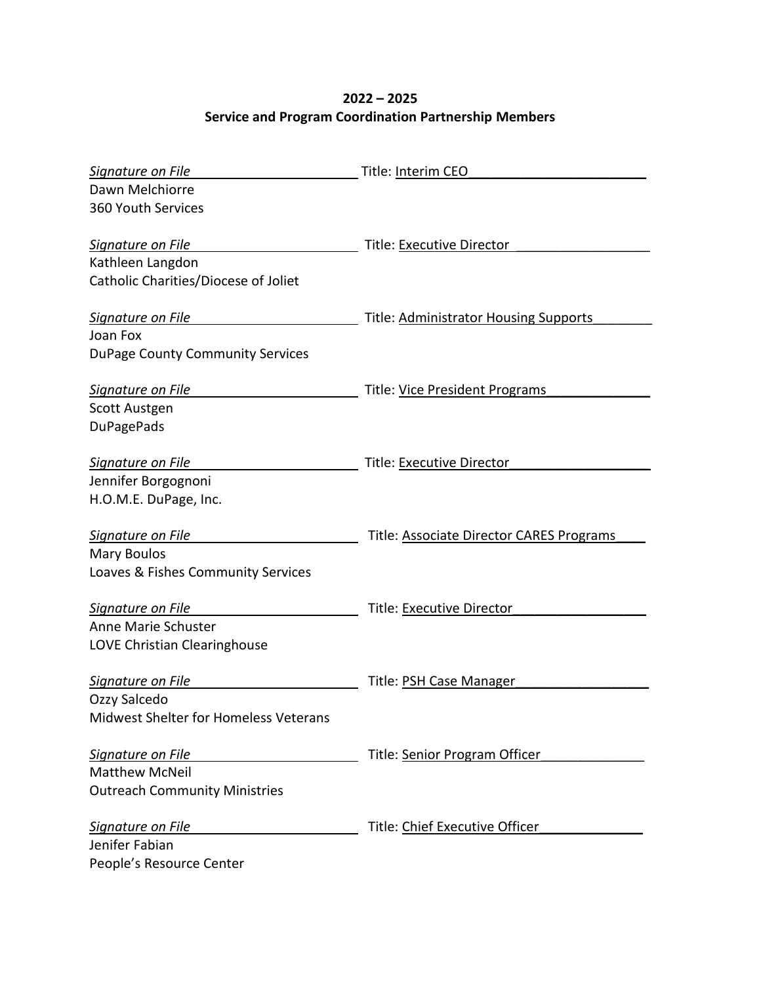# **2022 – 2025 Service and Program Coordination Partnership Members**

| Signature on File                            | Title: Interim CEO                       |
|----------------------------------------------|------------------------------------------|
| Dawn Melchiorre                              |                                          |
| 360 Youth Services                           |                                          |
|                                              |                                          |
| Signature on File                            | Title: Executive Director                |
| Kathleen Langdon                             |                                          |
| Catholic Charities/Diocese of Joliet         |                                          |
|                                              |                                          |
| Signature on File                            | Title: Administrator Housing Supports    |
| Joan Fox                                     |                                          |
| <b>DuPage County Community Services</b>      |                                          |
|                                              |                                          |
| Signature on File                            | Title: Vice President Programs           |
| <b>Scott Austgen</b>                         |                                          |
| <b>DuPagePads</b>                            |                                          |
|                                              |                                          |
| Signature on File                            | Title: Executive Director                |
| Jennifer Borgognoni                          |                                          |
| H.O.M.E. DuPage, Inc.                        |                                          |
| Signature on File                            | Title: Associate Director CARES Programs |
| <b>Mary Boulos</b>                           |                                          |
| Loaves & Fishes Community Services           |                                          |
|                                              |                                          |
| Signature on File                            | Title: Executive Director                |
| Anne Marie Schuster                          |                                          |
| LOVE Christian Clearinghouse                 |                                          |
|                                              |                                          |
| Signature on File                            | Title: PSH Case Manager                  |
| Ozzy Salcedo                                 |                                          |
| <b>Midwest Shelter for Homeless Veterans</b> |                                          |
|                                              |                                          |
| Signature on File                            | Title: Senior Program Officer            |
| <b>Matthew McNeil</b>                        |                                          |
| <b>Outreach Community Ministries</b>         |                                          |
|                                              |                                          |
| Signature on File                            | Title: Chief Executive Officer           |
| Jenifer Fabian                               |                                          |
| People's Resource Center                     |                                          |